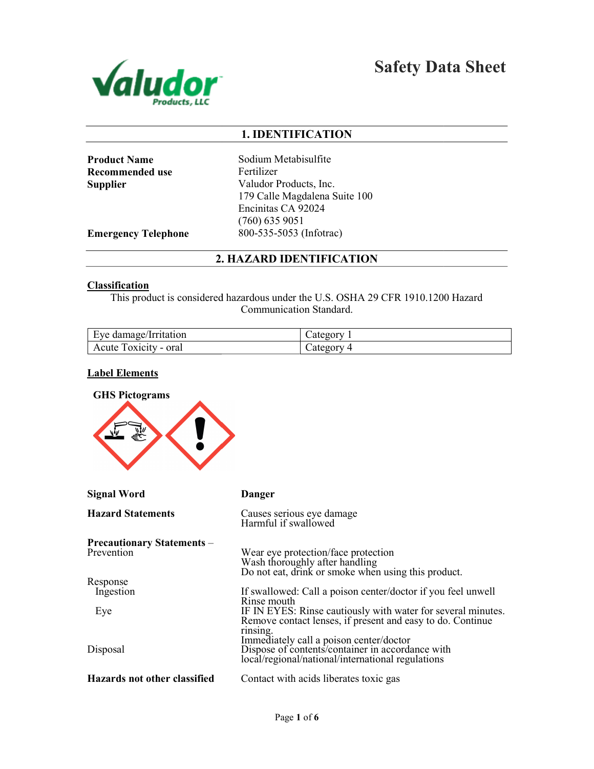

Safety Data Sheet

# 1. IDENTIFICATION

| <b>Product Name</b> |  |
|---------------------|--|
| Recommended use     |  |
| Supplier            |  |

Sodium Metabisulfite Fertilizer Valudor Products, Inc. 179 Calle Magdalena Suite 100 Encinitas CA 92024 (760) 635 9051 800-535-5053 (Infotrac)

Emergency Telephone

# 2. HAZARD IDENTIFICATION

## **Classification**

This product is considered hazardous under the U.S. OSHA 29 CFR 1910.1200 Hazard Communication Standard.

| Eve damage/Irritation    | category                |
|--------------------------|-------------------------|
| Foxicity - oral<br>Acute | $\mathcal{L}$ ategory 4 |

## Label Elements

| <b>GHS Pictograms</b>                           |                                                                                                                                                                                   |
|-------------------------------------------------|-----------------------------------------------------------------------------------------------------------------------------------------------------------------------------------|
| <b>Signal Word</b>                              | <b>Danger</b>                                                                                                                                                                     |
| <b>Hazard Statements</b>                        | Causes serious eye damage<br>Harmful if swallowed                                                                                                                                 |
| <b>Precautionary Statements –</b><br>Prevention | Wear eye protection/face protection<br>Wash thoroughly after handling<br>Do not eat, drink or smoke when using this product.                                                      |
| Response<br>Ingestion                           | If swallowed: Call a poison center/doctor if you feel unwell<br>Rinse mouth                                                                                                       |
| Eye                                             | IF IN EYES: Rinse cautiously with water for several minutes.<br>Remove contact lenses, if present and easy to do. Continue<br>rinsing.<br>Immediately call a poison center/doctor |
| Disposal                                        | Dispose of contents/container in accordance with<br>local/regional/national/international regulations                                                                             |
| Hazards not other classified                    | Contact with acids liberates toxic gas                                                                                                                                            |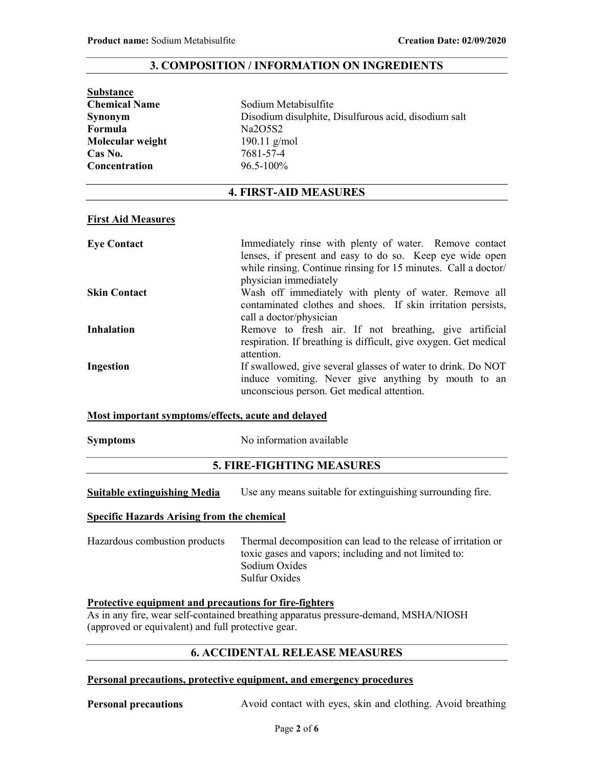## 3. COMPOSITION / INFORMATION ON INGREDIENTS

| <b>Substance</b>                             |                                                                                                                                                                                                               |  |  |  |
|----------------------------------------------|---------------------------------------------------------------------------------------------------------------------------------------------------------------------------------------------------------------|--|--|--|
| Sodium Metabisulfite<br><b>Chemical Name</b> |                                                                                                                                                                                                               |  |  |  |
| <b>Synonym</b>                               | Disodium disulphite, Disulfurous acid, disodium salt                                                                                                                                                          |  |  |  |
| <b>Formula</b>                               | Na2O5S2                                                                                                                                                                                                       |  |  |  |
| 190.11 $g/mol$<br>Molecular weight           |                                                                                                                                                                                                               |  |  |  |
| Cas No.                                      | 7681-57-4                                                                                                                                                                                                     |  |  |  |
| 96.5-100%<br>Concentration                   |                                                                                                                                                                                                               |  |  |  |
|                                              | <b>4. FIRST-AID MEASURES</b>                                                                                                                                                                                  |  |  |  |
| <b>First Aid Measures</b>                    |                                                                                                                                                                                                               |  |  |  |
| <b>Eye Contact</b>                           | Immediately rinse with plenty of water. Remove contact<br>lenses, if present and easy to do so. Keep eye wide open<br>while rinsing. Continue rinsing for 15 minutes. Call a doctor/<br>physician immediately |  |  |  |

Skin Contact **Wash off** immediately with plenty of water. Remove all contaminated clothes and shoes. If skin irritation persists, call a doctor/physician

Inhalation Remove to fresh air. If not breathing, give artificial respiration. If breathing is difficult, give oxygen. Get medical attention.

Ingestion If swallowed, give several glasses of water to drink. Do NOT induce vomiting. Never give anything by mouth to an unconscious person. Get medical attention.

## Most important symptoms/effects, acute and delayed

Symptoms No information available

# 5. FIRE-FIGHTING MEASURES

Suitable extinguishing Media Use any means suitable for extinguishing surrounding fire.

## Specific Hazards Arising from the chemical

Hazardous combustion products Thermal decomposition can lead to the release of irritation or toxic gases and vapors; including and not limited to: Sodium Oxides Sulfur Oxides

#### Protective equipment and precautions for fire-fighters

As in any fire, wear self-contained breathing apparatus pressure-demand, MSHA/NIOSH (approved or equivalent) and full protective gear.

# 6. ACCIDENTAL RELEASE MEASURES

#### Personal precautions, protective equipment, and emergency procedures

Personal precautions Avoid contact with eyes, skin and clothing. Avoid breathing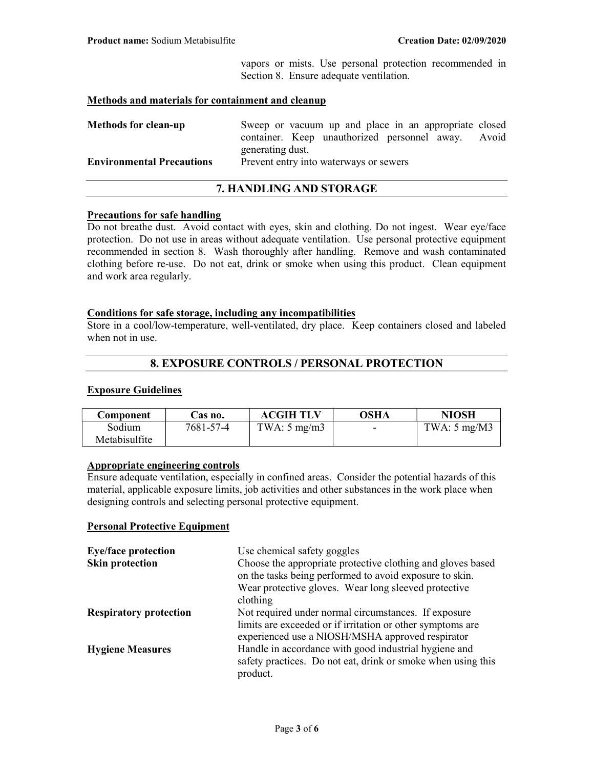vapors or mists. Use personal protection recommended in Section 8. Ensure adequate ventilation.

## Methods and materials for containment and cleanup

| <b>Methods for clean-up</b>      | Sweep or vacuum up and place in an appropriate closed |  |
|----------------------------------|-------------------------------------------------------|--|
|                                  | container. Keep unauthorized personnel away. Avoid    |  |
|                                  | generating dust.                                      |  |
| <b>Environmental Precautions</b> | Prevent entry into waterways or sewers                |  |
|                                  |                                                       |  |

# 7. HANDLING AND STORAGE

#### Precautions for safe handling

Do not breathe dust. Avoid contact with eyes, skin and clothing. Do not ingest. Wear eye/face protection. Do not use in areas without adequate ventilation. Use personal protective equipment recommended in section 8. Wash thoroughly after handling. Remove and wash contaminated clothing before re-use. Do not eat, drink or smoke when using this product. Clean equipment and work area regularly.

#### Conditions for safe storage, including any incompatibilities

Store in a cool/low-temperature, well-ventilated, dry place. Keep containers closed and labeled when not in use.

## 8. EXPOSURE CONTROLS / PERSONAL PROTECTION

## Exposure Guidelines

| Component     | Cas no.   | <b>ACGIH TLV</b>        | <b>OSHA</b> | <b>NIOSH</b>                  |
|---------------|-----------|-------------------------|-------------|-------------------------------|
| Sodium        | 7681-57-4 | TWA: $5 \text{ mg/m}$ 3 | -           | TWA: $5 \text{ mg}/\text{M}3$ |
| Metabisulfite |           |                         |             |                               |

# Appropriate engineering controls

Ensure adequate ventilation, especially in confined areas. Consider the potential hazards of this material, applicable exposure limits, job activities and other substances in the work place when designing controls and selecting personal protective equipment.

## Personal Protective Equipment

| <b>Eye/face protection</b>    | Use chemical safety goggles                                                                                                                                            |  |  |
|-------------------------------|------------------------------------------------------------------------------------------------------------------------------------------------------------------------|--|--|
| <b>Skin protection</b>        | Choose the appropriate protective clothing and gloves based<br>on the tasks being performed to avoid exposure to skin.                                                 |  |  |
|                               | Wear protective gloves. Wear long sleeved protective<br>clothing                                                                                                       |  |  |
| <b>Respiratory protection</b> | Not required under normal circumstances. If exposure<br>limits are exceeded or if irritation or other symptoms are<br>experienced use a NIOSH/MSHA approved respirator |  |  |
| <b>Hygiene Measures</b>       | Handle in accordance with good industrial hygiene and<br>safety practices. Do not eat, drink or smoke when using this<br>product.                                      |  |  |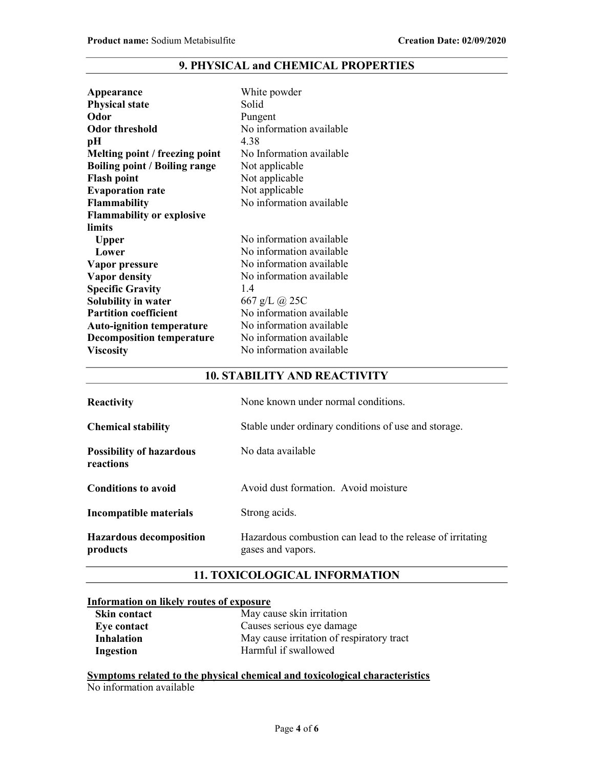# 9. PHYSICAL and CHEMICAL PROPERTIES

| Appearance                           | White powder             |
|--------------------------------------|--------------------------|
| <b>Physical state</b>                | Solid                    |
| Odor                                 | Pungent                  |
| Odor threshold                       | No information available |
| pН                                   | 4.38                     |
| Melting point / freezing point       | No Information available |
| <b>Boiling point / Boiling range</b> | Not applicable           |
| <b>Flash point</b>                   | Not applicable           |
| <b>Evaporation rate</b>              | Not applicable           |
| Flammability                         | No information available |
| <b>Flammability or explosive</b>     |                          |
| limits                               |                          |
| <b>Upper</b>                         | No information available |
| Lower                                | No information available |
| Vapor pressure                       | No information available |
| <b>Vapor density</b>                 | No information available |
| <b>Specific Gravity</b>              | 1.4                      |
| <b>Solubility in water</b>           | 667 g/L @ 25C            |
| <b>Partition coefficient</b>         | No information available |
| <b>Auto-ignition temperature</b>     | No information available |
| <b>Decomposition temperature</b>     | No information available |
| <b>Viscosity</b>                     | No information available |
|                                      |                          |

# 10. STABILITY AND REACTIVITY

| <b>Reactivity</b>                            | None known under normal conditions.                                             |  |  |
|----------------------------------------------|---------------------------------------------------------------------------------|--|--|
| <b>Chemical stability</b>                    | Stable under ordinary conditions of use and storage.                            |  |  |
| <b>Possibility of hazardous</b><br>reactions | No data available                                                               |  |  |
| <b>Conditions to avoid</b>                   | Avoid dust formation. Avoid moisture                                            |  |  |
| Incompatible materials                       | Strong acids.                                                                   |  |  |
| <b>Hazardous decomposition</b><br>products   | Hazardous combustion can lead to the release of irritating<br>gases and vapors. |  |  |

# 11. TOXICOLOGICAL INFORMATION

# Information on likely routes of exposure

| Skin contact | May cause skin irritation                 |  |  |
|--------------|-------------------------------------------|--|--|
| Eye contact  | Causes serious eye damage                 |  |  |
| Inhalation   | May cause irritation of respiratory tract |  |  |
| Ingestion    | Harmful if swallowed                      |  |  |

Symptoms related to the physical chemical and toxicological characteristics No information available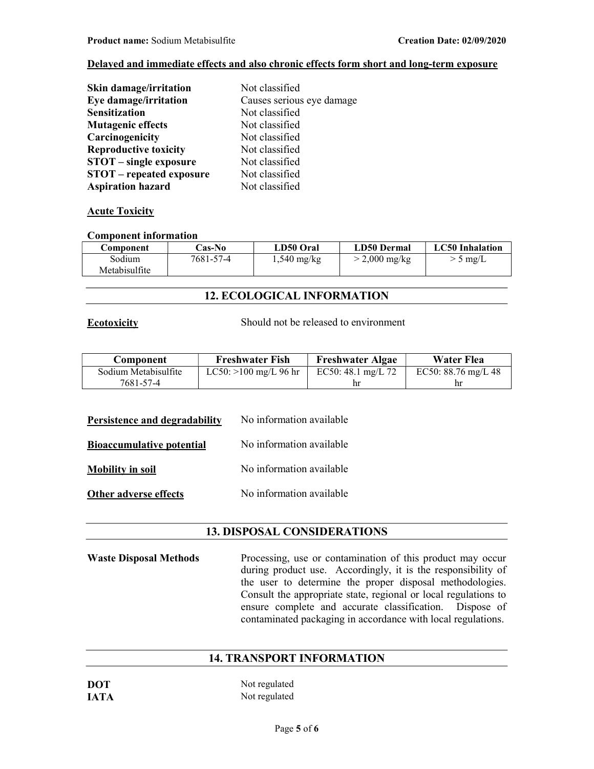# Delayed and immediate effects and also chronic effects form short and long-term exposure

| <b>Skin damage/irritation</b>   | Not classified            |
|---------------------------------|---------------------------|
| Eye damage/irritation           | Causes serious eye damage |
| <b>Sensitization</b>            | Not classified            |
| <b>Mutagenic effects</b>        | Not classified            |
| Carcinogenicity                 | Not classified            |
| <b>Reproductive toxicity</b>    | Not classified            |
| <b>STOT</b> – single exposure   | Not classified            |
| <b>STOT</b> – repeated exposure | Not classified            |
| <b>Aspiration hazard</b>        | Not classified            |

## **Acute Toxicity**

## Component information

| Component     | <b>Cas-No</b> | LD50 Oral     | LD50 Dermal             | LC50 Inhalation |
|---------------|---------------|---------------|-------------------------|-----------------|
| Sodium        | 7681-57-4     | $1,540$ mg/kg | $> 2,000 \text{ mg/kg}$ | $>$ 5 mg/L      |
| Metabisulfite |               |               |                         |                 |

# 12. ECOLOGICAL INFORMATION

Ecotoxicity Should not be released to environment

| Component            | <b>Freshwater Fish</b>  | <b>Freshwater Algae</b>      | Water Flea            |
|----------------------|-------------------------|------------------------------|-----------------------|
| Sodium Metabisulfite | LC50: $>100$ mg/L 96 hr | EC50: $48.1 \text{ mg/L}$ 72 | EC50: $88.76$ mg/L 48 |
| 7681-57-4            |                         | hr                           | hr                    |

| Persistence and degradability    | No information available |
|----------------------------------|--------------------------|
| <b>Bioaccumulative potential</b> | No information available |
| <b>Mobility in soil</b>          | No information available |
| <b>Other adverse effects</b>     | No information available |

## 13. DISPOSAL CONSIDERATIONS

Waste Disposal Methods Processing, use or contamination of this product may occur during product use. Accordingly, it is the responsibility of the user to determine the proper disposal methodologies. Consult the appropriate state, regional or local regulations to ensure complete and accurate classification. Dispose of contaminated packaging in accordance with local regulations.

## 14. TRANSPORT INFORMATION

| <b>DOT</b>  | Not regulated |
|-------------|---------------|
| <b>IATA</b> | Not regulated |